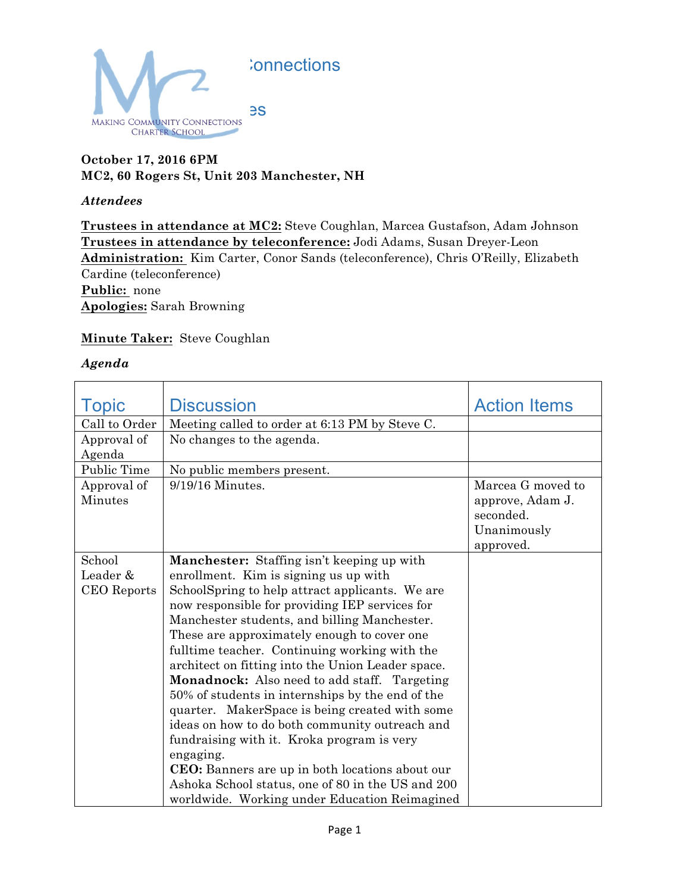

# **October 17, 2016 6PM MC2, 60 Rogers St, Unit 203 Manchester, NH**

## *Attendees*

**Trustees in attendance at MC2:** Steve Coughlan, Marcea Gustafson, Adam Johnson **Trustees in attendance by teleconference:** Jodi Adams, Susan Dreyer-Leon **Administration:** Kim Carter, Conor Sands (teleconference), Chris O'Reilly, Elizabeth Cardine (teleconference) **Public:** none **Apologies:** Sarah Browning

# **Minute Taker:** Steve Coughlan

## *Agenda*

| <b>Topic</b>  | <b>Discussion</b>                                 | <b>Action Items</b> |
|---------------|---------------------------------------------------|---------------------|
| Call to Order | Meeting called to order at 6:13 PM by Steve C.    |                     |
| Approval of   | No changes to the agenda.                         |                     |
| Agenda        |                                                   |                     |
| Public Time   | No public members present.                        |                     |
| Approval of   | $9/19/16$ Minutes.                                | Marcea G moved to   |
| Minutes       |                                                   | approve, Adam J.    |
|               |                                                   | seconded.           |
|               |                                                   | Unanimously         |
|               |                                                   | approved.           |
| School        | Manchester: Staffing isn't keeping up with        |                     |
| Leader &      | enrollment. Kim is signing us up with             |                     |
| CEO Reports   | SchoolSpring to help attract applicants. We are   |                     |
|               | now responsible for providing IEP services for    |                     |
|               | Manchester students, and billing Manchester.      |                     |
|               | These are approximately enough to cover one       |                     |
|               | fulltime teacher. Continuing working with the     |                     |
|               | architect on fitting into the Union Leader space. |                     |
|               | Monadnock: Also need to add staff. Targeting      |                     |
|               | 50% of students in internships by the end of the  |                     |
|               | quarter. MakerSpace is being created with some    |                     |
|               | ideas on how to do both community outreach and    |                     |
|               | fundraising with it. Kroka program is very        |                     |
|               | engaging.                                         |                     |
|               | CEO: Banners are up in both locations about our   |                     |
|               | Ashoka School status, one of 80 in the US and 200 |                     |
|               | worldwide. Working under Education Reimagined     |                     |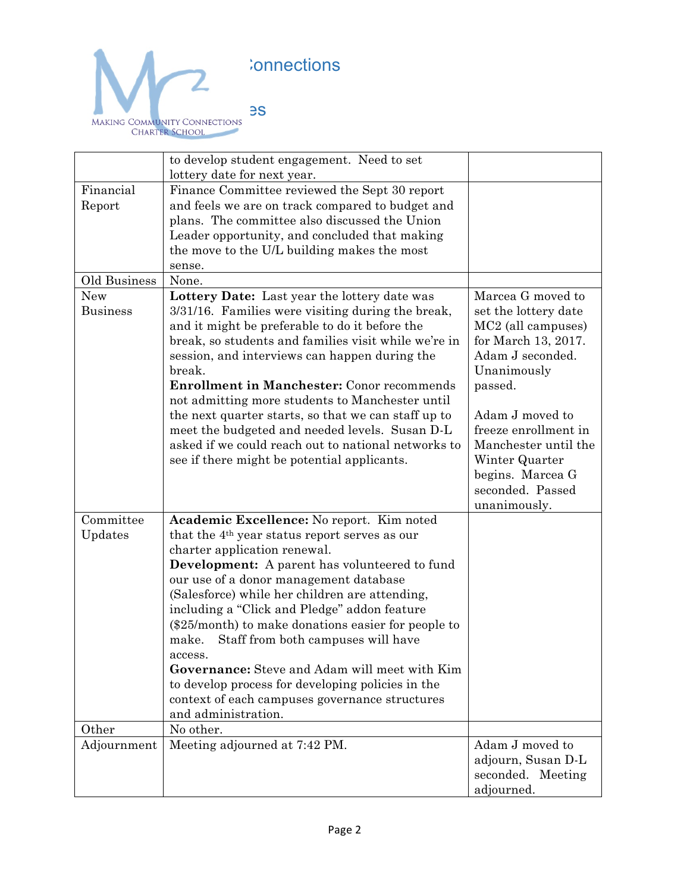

|                               | to develop student engagement. Need to set<br>lottery date for next year.                                                                                                                                                                                                                                                                                                                                                                                                                                                                                                                       |                                                                                                                                                                                                                                                                                               |
|-------------------------------|-------------------------------------------------------------------------------------------------------------------------------------------------------------------------------------------------------------------------------------------------------------------------------------------------------------------------------------------------------------------------------------------------------------------------------------------------------------------------------------------------------------------------------------------------------------------------------------------------|-----------------------------------------------------------------------------------------------------------------------------------------------------------------------------------------------------------------------------------------------------------------------------------------------|
| Financial<br>Report           | Finance Committee reviewed the Sept 30 report<br>and feels we are on track compared to budget and<br>plans. The committee also discussed the Union<br>Leader opportunity, and concluded that making<br>the move to the U/L building makes the most<br>sense.                                                                                                                                                                                                                                                                                                                                    |                                                                                                                                                                                                                                                                                               |
| Old Business                  | None.                                                                                                                                                                                                                                                                                                                                                                                                                                                                                                                                                                                           |                                                                                                                                                                                                                                                                                               |
| <b>New</b><br><b>Business</b> | Lottery Date: Last year the lottery date was<br>3/31/16. Families were visiting during the break,<br>and it might be preferable to do it before the<br>break, so students and families visit while we're in<br>session, and interviews can happen during the<br>break.<br><b>Enrollment in Manchester:</b> Conor recommends<br>not admitting more students to Manchester until<br>the next quarter starts, so that we can staff up to<br>meet the budgeted and needed levels. Susan D-L<br>asked if we could reach out to national networks to<br>see if there might be potential applicants.   | Marcea G moved to<br>set the lottery date<br>MC <sub>2</sub> (all campuses)<br>for March 13, 2017.<br>Adam J seconded.<br>Unanimously<br>passed.<br>Adam J moved to<br>freeze enrollment in<br>Manchester until the<br>Winter Quarter<br>begins. Marcea G<br>seconded. Passed<br>unanimously. |
| Committee                     | Academic Excellence: No report. Kim noted                                                                                                                                                                                                                                                                                                                                                                                                                                                                                                                                                       |                                                                                                                                                                                                                                                                                               |
| Updates                       | that the 4 <sup>th</sup> year status report serves as our<br>charter application renewal.<br><b>Development:</b> A parent has volunteered to fund<br>our use of a donor management database<br>(Salesforce) while her children are attending,<br>including a "Click and Pledge" addon feature<br>$(\$25/month)$ to make donations easier for people to<br>make.<br>Staff from both campuses will have<br>access.<br>Governance: Steve and Adam will meet with Kim<br>to develop process for developing policies in the<br>context of each campuses governance structures<br>and administration. |                                                                                                                                                                                                                                                                                               |
| Other                         | No other.                                                                                                                                                                                                                                                                                                                                                                                                                                                                                                                                                                                       |                                                                                                                                                                                                                                                                                               |
| Adjournment                   | Meeting adjourned at 7:42 PM.                                                                                                                                                                                                                                                                                                                                                                                                                                                                                                                                                                   | Adam J moved to<br>adjourn, Susan D-L<br>seconded. Meeting<br>adjourned.                                                                                                                                                                                                                      |